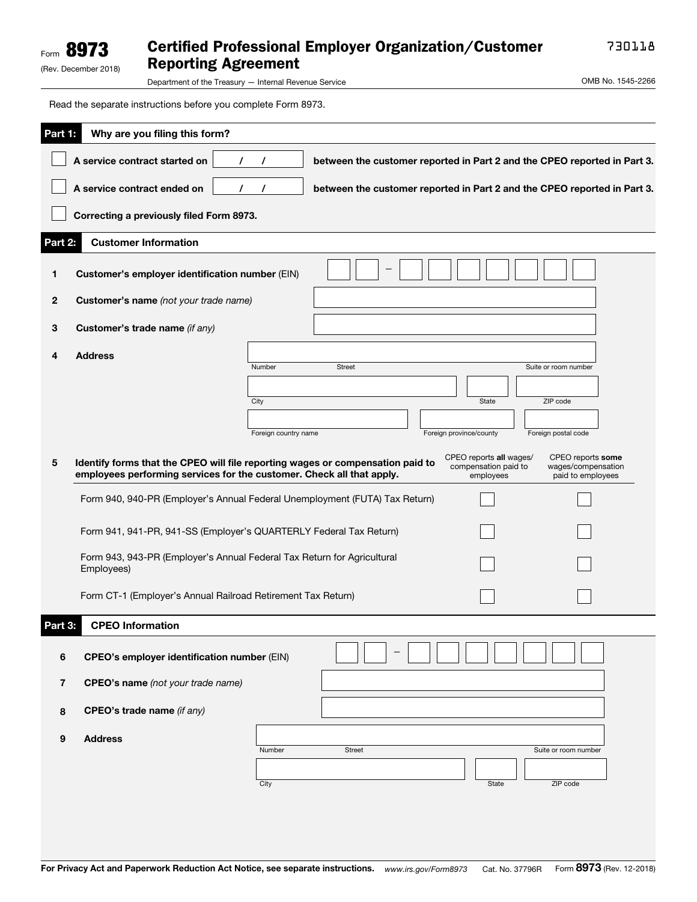## Certified Professional Employer Organization/Customer Reporting Agreement

730118

(Rev. December 2018)

Form 8973

Department of the Treasury — Internal Revenue Service **COMB No. 1545-2266** 

Read the separate instructions before you complete Form 8973.

| <u>Part 1:</u><br>Why are you filing this form? |                                                                                                                                                         |                      |                                                                          |                                                              |                                                              |  |  |  |
|-------------------------------------------------|---------------------------------------------------------------------------------------------------------------------------------------------------------|----------------------|--------------------------------------------------------------------------|--------------------------------------------------------------|--------------------------------------------------------------|--|--|--|
|                                                 | A service contract started on<br>$\prime$                                                                                                               |                      | between the customer reported in Part 2 and the CPEO reported in Part 3. |                                                              |                                                              |  |  |  |
|                                                 | A service contract ended on<br>$\prime$                                                                                                                 |                      | between the customer reported in Part 2 and the CPEO reported in Part 3. |                                                              |                                                              |  |  |  |
|                                                 | Correcting a previously filed Form 8973.                                                                                                                |                      |                                                                          |                                                              |                                                              |  |  |  |
| Part 2:                                         | <b>Customer Information</b>                                                                                                                             |                      |                                                                          |                                                              |                                                              |  |  |  |
| 1                                               | Customer's employer identification number (EIN)                                                                                                         |                      |                                                                          |                                                              |                                                              |  |  |  |
| 2                                               | Customer's name (not your trade name)                                                                                                                   |                      |                                                                          |                                                              |                                                              |  |  |  |
| 3                                               | Customer's trade name (if any)                                                                                                                          |                      |                                                                          |                                                              |                                                              |  |  |  |
| 4                                               | <b>Address</b>                                                                                                                                          |                      |                                                                          |                                                              |                                                              |  |  |  |
|                                                 |                                                                                                                                                         | Number               | <b>Street</b>                                                            |                                                              | Suite or room number                                         |  |  |  |
|                                                 |                                                                                                                                                         |                      |                                                                          |                                                              |                                                              |  |  |  |
|                                                 |                                                                                                                                                         | City                 |                                                                          | State                                                        | ZIP code                                                     |  |  |  |
|                                                 |                                                                                                                                                         | Foreign country name |                                                                          | Foreign province/county                                      | Foreign postal code                                          |  |  |  |
| 5                                               | Identify forms that the CPEO will file reporting wages or compensation paid to<br>employees performing services for the customer. Check all that apply. |                      |                                                                          | CPEO reports all wages/<br>compensation paid to<br>employees | CPEO reports some<br>wages/compensation<br>paid to employees |  |  |  |
|                                                 | Form 940, 940-PR (Employer's Annual Federal Unemployment (FUTA) Tax Return)                                                                             |                      |                                                                          |                                                              |                                                              |  |  |  |
|                                                 | Form 941, 941-PR, 941-SS (Employer's QUARTERLY Federal Tax Return)                                                                                      |                      |                                                                          |                                                              |                                                              |  |  |  |
|                                                 | Form 943, 943-PR (Employer's Annual Federal Tax Return for Agricultural<br>Employees)                                                                   |                      |                                                                          |                                                              |                                                              |  |  |  |
|                                                 | Form CT-1 (Employer's Annual Railroad Retirement Tax Return)                                                                                            |                      |                                                                          |                                                              |                                                              |  |  |  |
| Part 3:<br><b>CPEO Information</b>              |                                                                                                                                                         |                      |                                                                          |                                                              |                                                              |  |  |  |
| $\bf 6$                                         | <b>CPEO's employer identification number (EIN)</b>                                                                                                      |                      |                                                                          |                                                              |                                                              |  |  |  |
|                                                 | CPEO's name (not your trade name)                                                                                                                       |                      |                                                                          |                                                              |                                                              |  |  |  |
| 7                                               |                                                                                                                                                         |                      |                                                                          |                                                              |                                                              |  |  |  |
| 8                                               | CPEO's trade name (if any)                                                                                                                              |                      |                                                                          |                                                              |                                                              |  |  |  |
| 9                                               | <b>Address</b>                                                                                                                                          |                      |                                                                          |                                                              |                                                              |  |  |  |
|                                                 |                                                                                                                                                         | Number               | Street                                                                   |                                                              | Suite or room number                                         |  |  |  |
|                                                 |                                                                                                                                                         | City                 |                                                                          | State                                                        | ZIP code                                                     |  |  |  |
|                                                 |                                                                                                                                                         |                      |                                                                          |                                                              |                                                              |  |  |  |
|                                                 |                                                                                                                                                         |                      |                                                                          |                                                              |                                                              |  |  |  |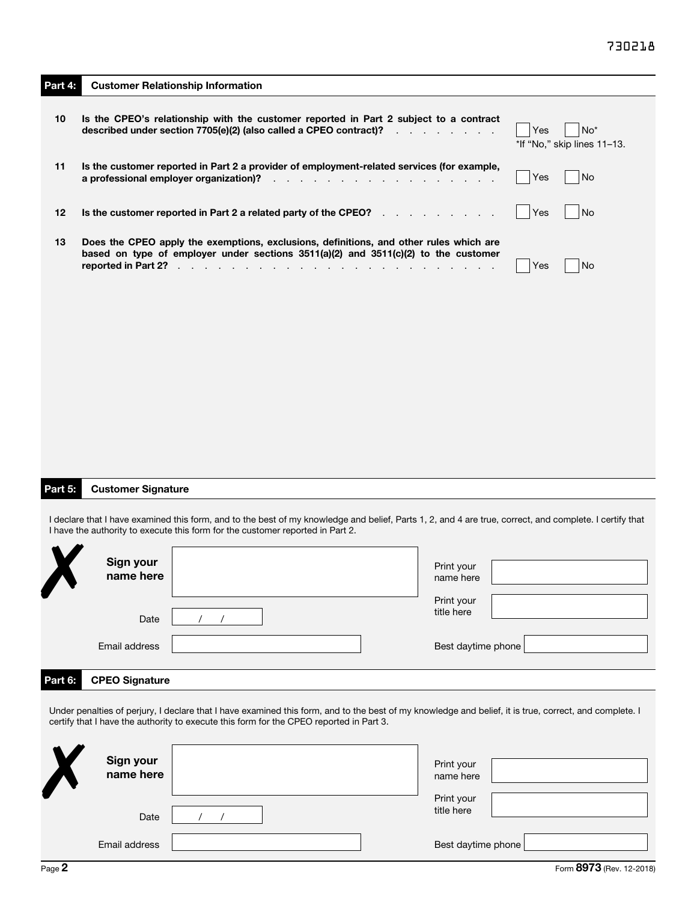| Part 4: |                                        | <b>Customer Relationship Information</b>                                                                                                                                                                                                          |                                                                                                                 |                          |     |                                                |  |
|---------|----------------------------------------|---------------------------------------------------------------------------------------------------------------------------------------------------------------------------------------------------------------------------------------------------|-----------------------------------------------------------------------------------------------------------------|--------------------------|-----|------------------------------------------------|--|
| 10      |                                        | Is the CPEO's relationship with the customer reported in Part 2 subject to a contract<br>described under section 7705(e)(2) (also called a CPEO contract)?                                                                                        |                                                                                                                 |                          | Yes | No <sup>*</sup><br>*If "No," skip lines 11-13. |  |
| 11      | a professional employer organization)? | Is the customer reported in Part 2 a provider of employment-related services (for example,                                                                                                                                                        | and the state of the state of the state of the state of the state of the state of the state of the state of the |                          | Yes | No                                             |  |
| 12      |                                        | Is the customer reported in Part 2 a related party of the CPEO?                                                                                                                                                                                   |                                                                                                                 |                          | Yes | No                                             |  |
| 13      |                                        | Does the CPEO apply the exemptions, exclusions, definitions, and other rules which are<br>based on type of employer under sections $3511(a)(2)$ and $3511(c)(2)$ to the customer                                                                  |                                                                                                                 |                          | Yes | No                                             |  |
|         |                                        |                                                                                                                                                                                                                                                   |                                                                                                                 |                          |     |                                                |  |
|         |                                        |                                                                                                                                                                                                                                                   |                                                                                                                 |                          |     |                                                |  |
|         |                                        |                                                                                                                                                                                                                                                   |                                                                                                                 |                          |     |                                                |  |
|         |                                        |                                                                                                                                                                                                                                                   |                                                                                                                 |                          |     |                                                |  |
|         |                                        |                                                                                                                                                                                                                                                   |                                                                                                                 |                          |     |                                                |  |
| Part 5: | <b>Customer Signature</b>              |                                                                                                                                                                                                                                                   |                                                                                                                 |                          |     |                                                |  |
|         |                                        | I declare that I have examined this form, and to the best of my knowledge and belief, Parts 1, 2, and 4 are true, correct, and complete. I certify that<br>I have the authority to execute this form for the customer reported in Part 2.         |                                                                                                                 |                          |     |                                                |  |
|         | Sign your<br>name here                 |                                                                                                                                                                                                                                                   |                                                                                                                 | Print your<br>name here  |     |                                                |  |
|         | Date                                   |                                                                                                                                                                                                                                                   |                                                                                                                 | Print your<br>title here |     |                                                |  |
|         | Email address                          |                                                                                                                                                                                                                                                   |                                                                                                                 | Best daytime phone       |     |                                                |  |
| Part 6: | <b>CPEO Signature</b>                  |                                                                                                                                                                                                                                                   |                                                                                                                 |                          |     |                                                |  |
|         |                                        | Under penalties of perjury, I declare that I have examined this form, and to the best of my knowledge and belief, it is true, correct, and complete. I<br>certify that I have the authority to execute this form for the CPEO reported in Part 3. |                                                                                                                 |                          |     |                                                |  |
|         | Sign your<br>name here                 |                                                                                                                                                                                                                                                   |                                                                                                                 | Print your               |     |                                                |  |
|         |                                        |                                                                                                                                                                                                                                                   |                                                                                                                 | name here<br>Print your  |     |                                                |  |
|         | Date                                   |                                                                                                                                                                                                                                                   |                                                                                                                 | title here               |     |                                                |  |